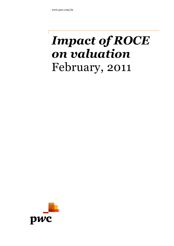# *Impact of ROCE on valuation* February, 2011

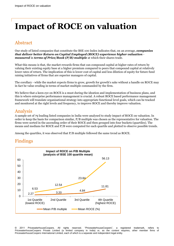## **Impact of ROCE on valuation**

#### Abstract

Our study of listed companies that constitute the BSE 100 Index indicates that, on an average, *companies that deliver better Return on Capital Employed (ROCE) experience higher valuation measured* in *terms of Price/Book (P/B) multiple* at which their shares trade.

What this means is that, the market rewards firms that can compound capital at higher rates of return by valuing their existing equity base at a higher premium compared to peers that compound capital at relatively lower rates of return. The implication of this is lower cost of capital and less dilution of equity for future fund raising initiatives of firms that are superior managers of capital.

The corollary - while the market expects firms to grow, growth for growth's sake without a handle on ROCE may in fact be value eroding in terms of market multiple commanded by the firm.

We believe that a keen eye on ROCE is a must during the ideation and implementation of business plans, and this is where enterprise performance management is crucial. A robust ROCE based performance management framework will translate organisational strategy into appropriate functional level goals, which can be tracked and monitored at the right levels and frequency, to improve ROCE and thereby improve valuation.

#### Analysis

A sample set of 79 leading listed companies in India were analysed to study impact of ROCE on valuation. In order to keep the basis for comparison similar, P/B multiple was chosen as the representative for valuation. The firms were sorted in the ascending order of their ROCE and then grouped into four buckets (quartiles). The means and medians for ROCE and P/B were computed for each quartile and plotted to observe possible trends.

Among the quartiles, it was observed that P/B multiple followed the same trend as ROCE.

### Findings



© 2011 PricewaterhouseCoopers. All rights reserved. "PricewaterhouseCoopers", a registered trademark, refers to PricewaterhouseCoopers Private Limited (a limited company in India) or, as the context requires, other member firms of PricewaterhouseCoopers International Limited, each of which is a separate and independent legal entity.